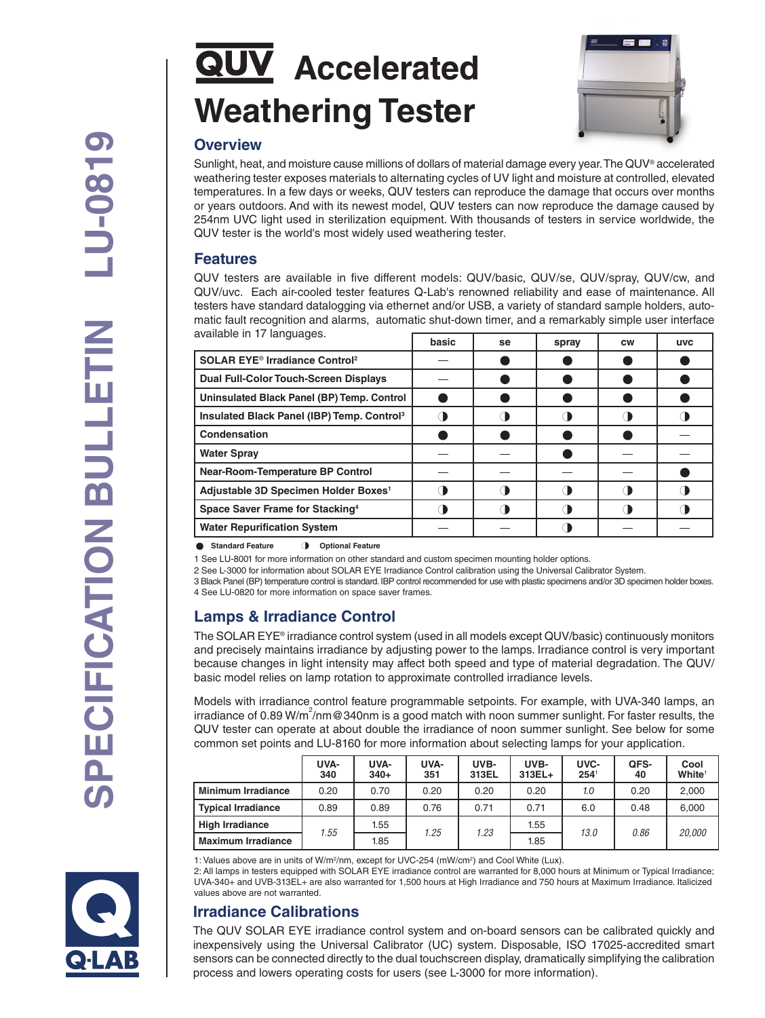# **QUV** Accelerated **Weathering Tester**



#### **Overview**

Sunlight, heat, and moisture cause millions of dollars of material damage every year. The QUV® accelerated weathering tester exposes materials to alternating cycles of UV light and moisture at controlled, elevated temperatures. In a few days or weeks, QUV testers can reproduce the damage that occurs over months or years outdoors. And with its newest model, QUV testers can now reproduce the damage caused by 254nm UVC light used in sterilization equipment. With thousands of testers in service worldwide, the QUV tester is the world's most widely used weathering tester.

#### **Features**

QUV testers are available in five different models: QUV/basic, QUV/se, QUV/spray, QUV/cw, and QUV/uvc. Each air-cooled tester features Q-Lab's renowned reliability and ease of maintenance. All testers have standard datalogging via ethernet and/or USB, a variety of standard sample holders, automatic fault recognition and alarms, automatic shut-down timer, and a remarkably simple user interface available in 17 languages.

|                                                             | basic | se | spray | <b>CW</b> | <b>UVC</b> |
|-------------------------------------------------------------|-------|----|-------|-----------|------------|
| <b>SOLAR EYE<sup>®</sup> Irradiance Control<sup>2</sup></b> |       |    |       |           |            |
| <b>Dual Full-Color Touch-Screen Displays</b>                |       |    |       |           |            |
| Uninsulated Black Panel (BP) Temp. Control                  |       |    |       |           |            |
| Insulated Black Panel (IBP) Temp. Control <sup>3</sup>      |       |    |       |           |            |
| Condensation                                                |       |    |       |           |            |
| <b>Water Spray</b>                                          |       |    |       |           |            |
| <b>Near-Room-Temperature BP Control</b>                     |       |    |       |           |            |
| Adjustable 3D Specimen Holder Boxes <sup>1</sup>            |       |    |       |           |            |
| Space Saver Frame for Stacking <sup>4</sup>                 |       |    |       |           |            |
| <b>Water Repurification System</b>                          |       |    |       |           |            |

**C** Standard Feature **3** Optional Feature

1 See LU-8001 for more information on other standard and custom specimen mounting holder options.

2 See L-3000 for information about SOLAR EYE Irradiance Control calibration using the Universal Calibrator System.

3 Black Panel (BP) temperature control is standard. IBP control recommended for use with plastic specimens and/or 3D specimen holder boxes. 4 See LU-0820 for more information on space saver frames.

## **Lamps & Irradiance Control**

The SOLAR EYE® irradiance control system (used in all models except QUV/basic) continuously monitors and precisely maintains irradiance by adjusting power to the lamps. Irradiance control is very important because changes in light intensity may affect both speed and type of material degradation. The QUV/ basic model relies on lamp rotation to approximate controlled irradiance levels.

Models with irradiance control feature programmable setpoints. For example, with UVA-340 lamps, an irradiance of 0.89 W/m<sup>2</sup>/nm@340nm is a good match with noon summer sunlight. For faster results, the QUV tester can operate at about double the irradiance of noon summer sunlight. See below for some common set points and LU-8160 for more information about selecting lamps for your application.

|                           | UVA-<br>340 | UVA-<br>$340+$ | UVA-<br>351 | UVB-<br>313EL | UVB-<br>$313EL+$ | UVC-<br>$254^{\circ}$ | QFS-<br>40 | Cool<br>White <sup>1</sup> |
|---------------------------|-------------|----------------|-------------|---------------|------------------|-----------------------|------------|----------------------------|
| <b>Minimum Irradiance</b> | 0.20        | 0.70           | 0.20        | 0.20          | 0.20             | 1.0                   | 0.20       | 2,000                      |
| Typical Irradiance        | 0.89        | 0.89           | 0.76        | 0.71          | 0.71             | 6.0                   | 0.48       | 6,000                      |
| <b>High Irradiance</b>    | .55         | 1.55           | 1.25        | 1.23          | 1.55             | 13.0                  | 0.86       | 20.000                     |
| <b>Maximum Irradiance</b> |             | 1.85           |             |               | 1.85             |                       |            |                            |

1: Values above are in units of W/m<sup>2</sup>/nm, except for UVC-254 (mW/cm<sup>2</sup>) and Cool White (Lux).

2: All lamps in testers equipped with SOLAR EYE irradiance control are warranted for 8,000 hours at Minimum or Typical Irradiance; UVA-340+ and UVB-313EL+ are also warranted for 1,500 hours at High Irradiance and 750 hours at Maximum Irradiance. Italicized values above are not warranted.

## **Irradiance Calibrations**

The QUV SOLAR EYE irradiance control system and on-board sensors can be calibrated quickly and inexpensively using the Universal Calibrator (UC) system. Disposable, ISO 17025-accredited smart sensors can be connected directly to the dual touchscreen display, dramatically simplifying the calibration process and lowers operating costs for users (see L-3000 for more information).